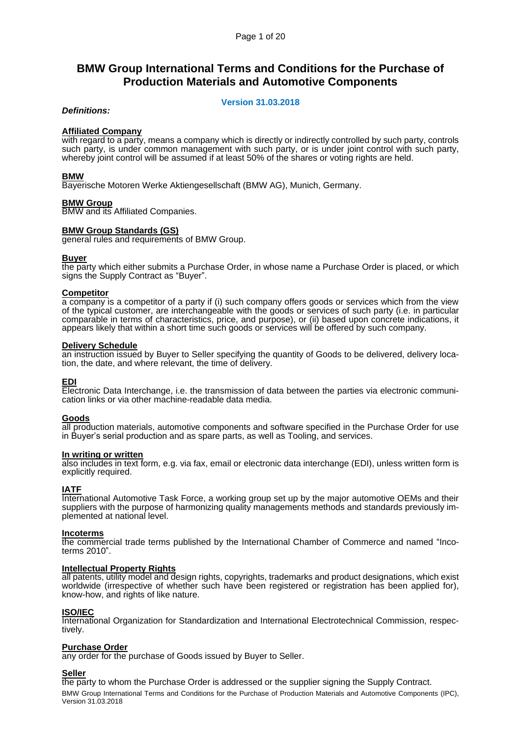# **BMW Group International Terms and Conditions for the Purchase of Production Materials and Automotive Components**

# **Version 31.03.2018**

# *Definitions:*

# **Affiliated Company**

with regard to a party, means a company which is directly or indirectly controlled by such party, controls such party, is under common management with such party, or is under joint control with such party, whereby joint control will be assumed if at least 50% of the shares or voting rights are held.

## **BMW**

Bayerische Motoren Werke Aktiengesellschaft (BMW AG), Munich, Germany.

#### **BMW Group**

BMW and its Affiliated Companies.

## **BMW Group Standards (GS)**

general rules and requirements of BMW Group.

#### **Buyer**

the party which either submits a Purchase Order, in whose name a Purchase Order is placed, or which signs the Supply Contract as "Buyer".

#### **Competitor**

a company is a competitor of a party if (i) such company offers goods or services which from the view of the typical customer, are interchangeable with the goods or services of such party (i.e. in particular comparable in terms of characteristics, price, and purpose), or (ii) based upon concrete indications, it appears likely that within a short time such goods or services will be offered by such company.

#### **Delivery Schedule**

an instruction issued by Buyer to Seller specifying the quantity of Goods to be delivered, delivery location, the date, and where relevant, the time of delivery.

## **EDI**

Electronic Data Interchange, i.e. the transmission of data between the parties via electronic communication links or via other machine-readable data media.

#### **Goods**

all production materials, automotive components and software specified in the Purchase Order for use in Buyer's serial production and as spare parts, as well as Tooling, and services.

#### **In writing or written**

also includes in text form, e.g. via fax, email or electronic data interchange (EDI), unless written form is explicitly required.

## **IATF**

International Automotive Task Force, a working group set up by the major automotive OEMs and their suppliers with the purpose of harmonizing quality managements methods and standards previously implemented at national level.

#### **Incoterms**

the commercial trade terms published by the International Chamber of Commerce and named "Incoterms 2010".

#### **Intellectual Property Rights**

all patents, utility model and design rights, copyrights, trademarks and product designations, which exist worldwide (irrespective of whether such have been registered or registration has been applied for), know-how, and rights of like nature.

## **ISO/IEC**

International Organization for Standardization and International Electrotechnical Commission, respectively.

## **Purchase Order**

any order for the purchase of Goods issued by Buyer to Seller.

## **Seller**

BMW Group International Terms and Conditions for the Purchase of Production Materials and Automotive Components (IPC), Version 31.03.2018 the party to whom the Purchase Order is addressed or the supplier signing the Supply Contract.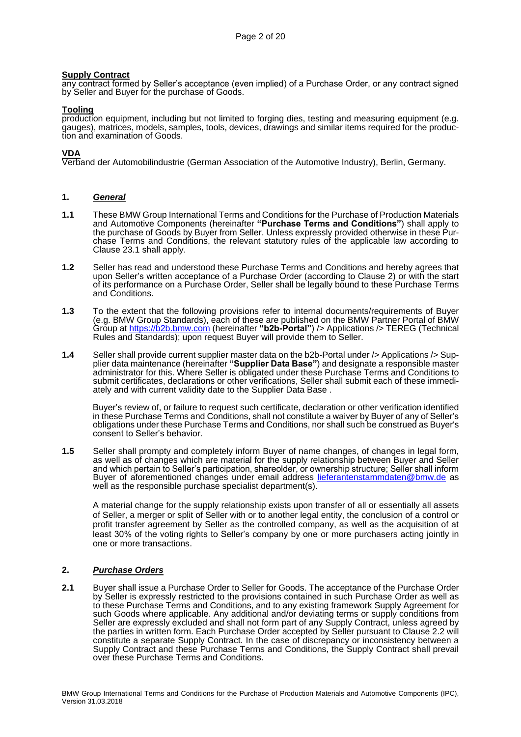# **Supply Contract**

any contract formed by Seller's acceptance (even implied) of a Purchase Order, or any contract signed by Seller and Buyer for the purchase of Goods.

# **Tooling**

production equipment, including but not limited to forging dies, testing and measuring equipment (e.g. gauges), matrices, models, samples, tools, devices, drawings and similar items required for the production and examination of Goods.

# **VDA**

Verband der Automobilindustrie (German Association of the Automotive Industry), Berlin, Germany.

# **1.** *General*

- **1.1** These BMW Group International Terms and Conditions for the Purchase of Production Materials and Automotive Components (hereinafter **"Purchase Terms and Conditions"**) shall apply to the purchase of Goods by Buyer from Seller. Unless expressly provided otherwise in these Purchase Terms and Conditions, the relevant statutory rules of the applicable law according to Clause [23.1](#page-19-0) shall apply.
- **1.2** Seller has read and understood these Purchase Terms and Conditions and hereby agrees that upon Seller's written acceptance of a Purchase Order (according to Clause [2\)](#page-1-0) or with the start of its performance on a Purchase Order, Seller shall be legally bound to these Purchase Terms and Conditions.
- **1.3** To the extent that the following provisions refer to internal documents/requirements of Buyer (e.g. BMW Group Standards), each of these are published on the BMW Partner Portal of BMW Group at [https://b2b.bmw.com](https://b2b.bmw.com/) (hereinafter **"b2b-Portal"**) /> Applications /> TEREG (Technical Rules and Standards); upon request Buyer will provide them to Seller.
- **1.4** Seller shall provide current supplier master data on the b2b-Portal under /> Applications /> Supplier data maintenance (hereinafter **"Supplier Data Base"**) and designate a responsible master administrator for this. Where Seller is obligated under these Purchase Terms and Conditions to submit certificates, declarations or other verifications, Seller shall submit each of these immediately and with current validity date to the Supplier Data Base .

Buyer's review of, or failure to request such certificate, declaration or other verification identified in these Purchase Terms and Conditions, shall not constitute a waiver by Buyer of any of Seller's obligations under these Purchase Terms and Conditions, nor shall such be construed as Buyer's consent to Seller's behavior.

**1.5** Seller shall prompty and completely inform Buyer of name changes, of changes in legal form, as well as of changes which are material for the supply relationship between Buyer and Seller and which pertain to Seller's participation, shareolder, or ownership structure; Seller shall inform Buyer of aforementioned changes under email address [lieferantenstammdaten@bmw.de](mailto:lieferantenstammdaten@bmw.de) as well as the responsible purchase specialist department(s).

A material change for the supply relationship exists upon transfer of all or essentially all assets of Seller, a merger or split of Seller with or to another legal entity, the conclusion of a control or profit transfer agreement by Seller as the controlled company, as well as the acquisition of at least 30% of the voting rights to Seller's company by one or more purchasers acting jointly in one or more transactions.

# <span id="page-1-0"></span>**2.** *Purchase Orders*

**2.1** Buyer shall issue a Purchase Order to Seller for Goods. The acceptance of the Purchase Order by Seller is expressly restricted to the provisions contained in such Purchase Order as well as to these Purchase Terms and Conditions, and to any existing framework Supply Agreement for such Goods where applicable. Any additional and/or deviating terms or supply conditions from Seller are expressly excluded and shall not form part of any Supply Contract, unless agreed by the parties in written form. Each Purchase Order accepted by Seller pursuant to Clause [2.2](#page-2-0) will constitute a separate Supply Contract. In the case of discrepancy or inconsistency between a Supply Contract and these Purchase Terms and Conditions, the Supply Contract shall prevail over these Purchase Terms and Conditions.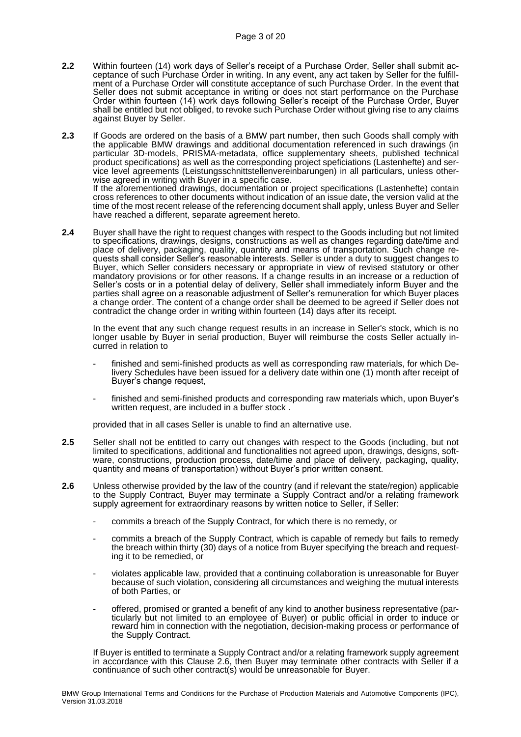- <span id="page-2-0"></span>**2.2** Within fourteen (14) work days of Seller's receipt of a Purchase Order, Seller shall submit acceptance of such Purchase Order in writing. In any event, any act taken by Seller for the fulfillment of a Purchase Order will constitute acceptance of such Purchase Order. In the event that Seller does not submit acceptance in writing or does not start performance on the Purchase Order within fourteen (14) work days following Seller's receipt of the Purchase Order, Buyer shall be entitled but not obliged, to revoke such Purchase Order without giving rise to any claims against Buyer by Seller.
- <span id="page-2-2"></span>**2.3** If Goods are ordered on the basis of a BMW part number, then such Goods shall comply with the applicable BMW drawings and additional documentation referenced in such drawings (in particular 3D-models, PRISMA-metadata, office supplementary sheets, published technical product specifications) as well as the corresponding project speficiations (Lastenhefte) and service level agreements (Leistungsschnittstellenvereinbarungen) in all particulars, unless otherwise agreed in writing with Buyer in a specific case. If the aforementioned drawings, documentation or project specifications (Lastenhefte) contain cross references to other documents without indication of an issue date, the version valid at the time of the most recent release of the referencing document shall apply, unless Buyer and Seller
- have reached a different, separate agreement hereto. **2.4** Buyer shall have the right to request changes with respect to the Goods including but not limited to specifications, drawings, designs, constructions as well as changes regarding date/time and place of delivery, packaging, quality, quantity and means of transportation. Such change requests shall consider Seller's reasonable interests. Seller is under a duty to suggest changes to Buyer, which Seller considers necessary or appropriate in view of revised statutory or other mandatory provisions or for other reasons. If a change results in an increase or a reduction of Seller's costs or in a potential delay of delivery, Seller shall immediately inform Buyer and the parties shall agree on a reasonable adjustment of Seller's remuneration for which Buyer places a change order. The content of a change order shall be deemed to be agreed if Seller does not

contradict the change order in writing within fourteen (14) days after its receipt.

In the event that any such change request results in an increase in Seller's stock, which is no longer usable by Buyer in serial production, Buyer will reimburse the costs Seller actually incurred in relation to

- finished and semi-finished products as well as corresponding raw materials, for which Delivery Schedules have been issued for a delivery date within one (1) month after receipt of Buyer's change request,
- finished and semi-finished products and corresponding raw materials which, upon Buyer's written request, are included in a buffer stock.

provided that in all cases Seller is unable to find an alternative use.

- **2.5** Seller shall not be entitled to carry out changes with respect to the Goods (including, but not limited to specifications, additional and functionalities not agreed upon, drawings, designs, software, constructions, production process, date/time and place of delivery, packaging, quality, quantity and means of transportation) without Buyer's prior written consent.
- <span id="page-2-1"></span>**2.6** Unless otherwise provided by the law of the country (and if relevant the state/region) applicable to the Supply Contract, Buyer may terminate a Supply Contract and/or a relating framework supply agreement for extraordinary reasons by written notice to Seller, if Seller:
	- commits a breach of the Supply Contract, for which there is no remedy, or
	- commits a breach of the Supply Contract, which is capable of remedy but fails to remedy the breach within thirty (30) days of a notice from Buyer specifying the breach and requesting it to be remedied, or
	- violates applicable law, provided that a continuing collaboration is unreasonable for Buyer because of such violation, considering all circumstances and weighing the mutual interests of both Parties, or
	- offered, promised or granted a benefit of any kind to another business representative (particularly but not limited to an employee of Buyer) or public official in order to induce or reward him in connection with the negotiation, decision-making process or performance of the Supply Contract.

If Buyer is entitled to terminate a Supply Contract and/or a relating framework supply agreement in accordance with this Clause [2.6,](#page-2-1) then Buyer may terminate other contracts with Seller if a continuance of such other contract(s) would be unreasonable for Buyer.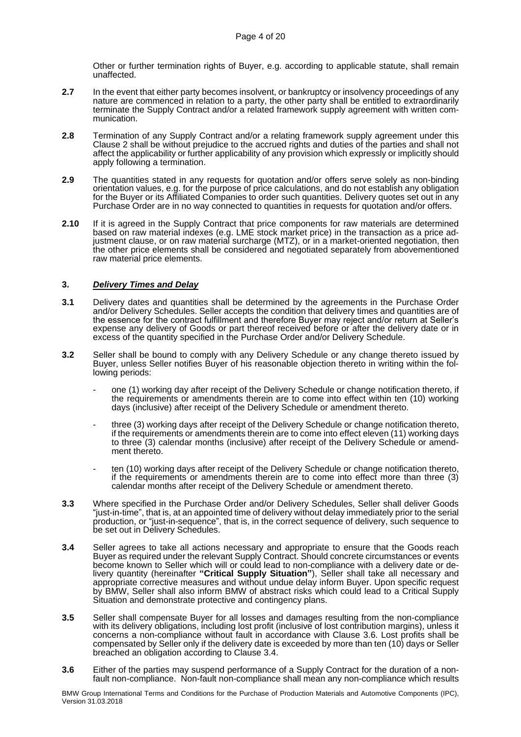Other or further termination rights of Buyer, e.g. according to applicable statute, shall remain unaffected.

- **2.7** In the event that either party becomes insolvent, or bankruptcy or insolvency proceedings of any nature are commenced in relation to a party, the other party shall be entitled to extraordinarily terminate the Supply Contract and/or a related framework supply agreement with written communication.
- **2.8** Termination of any Supply Contract and/or a relating framework supply agreement under this Clause 2 shall be without prejudice to the accrued rights and duties of the parties and shall not affect the applicability or further applicability of any provision which expressly or implicitly should apply following a termination.
- **2.9** The quantities stated in any requests for quotation and/or offers serve solely as non-binding orientation values, e.g. for the purpose of price calculations, and do not establish any obligation for the Buyer or its Affiliated Companies to order such quantities. Delivery quotes set out in any Purchase Order are in no way connected to quantities in requests for quotation and/or offers.
- **2.10** If it is agreed in the Supply Contract that price components for raw materials are determined based on raw material indexes (e.g. LME stock market price) in the transaction as a price adjustment clause, or on raw material surcharge (MTZ), or in a market-oriented negotiation, then the other price elements shall be considered and negotiated separately from abovementioned raw material price elements.

## **3.** *Delivery Times and Delay*

- **3.1** Delivery dates and quantities shall be determined by the agreements in the Purchase Order and/or Delivery Schedules. Seller accepts the condition that delivery times and quantities are of the essence for the contract fulfillment and therefore Buyer may reject and/or return at Seller's expense any delivery of Goods or part thereof received before or after the delivery date or in excess of the quantity specified in the Purchase Order and/or Delivery Schedule.
- **3.2** Seller shall be bound to comply with any Delivery Schedule or any change thereto issued by Buyer, unless Seller notifies Buyer of his reasonable objection thereto in writing within the following periods:
	- one (1) working day after receipt of the Delivery Schedule or change notification thereto, if the requirements or amendments therein are to come into effect within ten (10) working days (inclusive) after receipt of the Delivery Schedule or amendment thereto.
	- three (3) working days after receipt of the Delivery Schedule or change notification thereto, if the requirements or amendments therein are to come into effect eleven (11) working days to three (3) calendar months (inclusive) after receipt of the Delivery Schedule or amendment thereto.
	- ten (10) working days after receipt of the Delivery Schedule or change notification thereto, if the requirements or amendments therein are to come into effect more than three (3) calendar months after receipt of the Delivery Schedule or amendment thereto.
- **3.3** Where specified in the Purchase Order and/or Delivery Schedules, Seller shall deliver Goods "just-in-time", that is, at an appointed time of delivery without delay immediately prior to the serial production, or "just-in-sequence", that is, in the correct sequence of delivery, such sequence to be set out in Delivery Schedules.
- <span id="page-3-1"></span>**3.4** Seller agrees to take all actions necessary and appropriate to ensure that the Goods reach Buyer as required under the relevant Supply Contract. Should concrete circumstances or events become known to Seller which will or could lead to non-compliance with a delivery date or delivery quantity (hereinafter **"Critical Supply Situation"**), Seller shall take all necessary and appropriate corrective measures and without undue delay inform Buyer. Upon specific request by BMW, Seller shall also inform BMW of abstract risks which could lead to a Critical Supply Situation and demonstrate protective and contingency plans.
- **3.5** Seller shall compensate Buyer for all losses and damages resulting from the non-compliance with its delivery obligations, including lost profit (inclusive of lost contribution margins), unless it concerns a non-compliance without fault in accordance with Clause [3.6.](#page-3-0) Lost profits shall be compensated by Seller only if the delivery date is exceeded by more than ten (10) days or Seller breached an obligation according to Clause [3.4.](#page-3-1)
- <span id="page-3-0"></span>**3.6** Either of the parties may suspend performance of a Supply Contract for the duration of a nonfault non-compliance. Non-fault non-compliance shall mean any non-compliance which results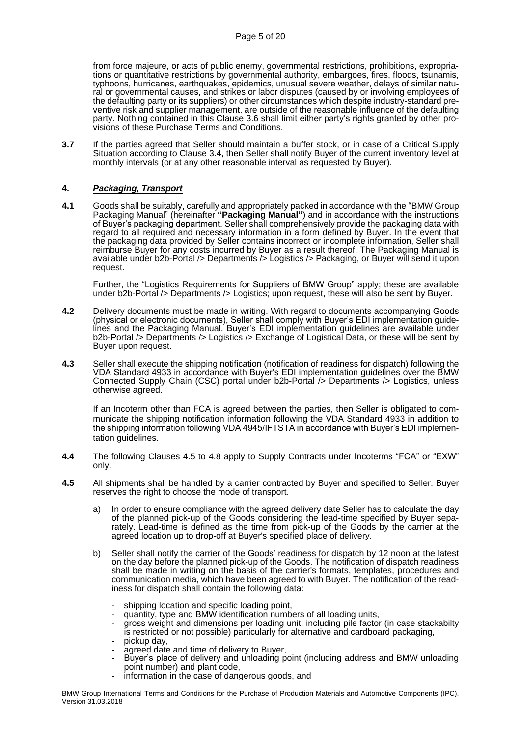from force majeure, or acts of public enemy, governmental restrictions, prohibitions, expropriations or quantitative restrictions by governmental authority, embargoes, fires, floods, tsunamis, typhoons, hurricanes, earthquakes, epidemics, unusual severe weather, delays of similar natural or governmental causes, and strikes or labor disputes (caused by or involving employees of the defaulting party or its suppliers) or other circumstances which despite industry-standard preventive risk and supplier management, are outside of the reasonable influence of the defaulting party. Nothing contained in this Clause [3.6](#page-3-0) shall limit either party's rights granted by other provisions of these Purchase Terms and Conditions.

**3.7** If the parties agreed that Seller should maintain a buffer stock, or in case of a Critical Supply Situation according to Clause [3.4,](#page-3-1) then Seller shall notify Buyer of the current inventory level at monthly intervals (or at any other reasonable interval as requested by Buyer).

# **4.** *Packaging, Transport*

**4.1** Goods shall be suitably, carefully and appropriately packed in accordance with the "BMW Group Packaging Manual" (hereinafter **"Packaging Manual"**) and in accordance with the instructions of Buyer's packaging department. Seller shall comprehensively provide the packaging data with regard to all required and necessary information in a form defined by Buyer. In the event that the packaging data provided by Seller contains incorrect or incomplete information, Seller shall reimburse Buyer for any costs incurred by Buyer as a result thereof. The Packaging Manual is available under b2b-Portal /> Departments /> Logistics /> Packaging, or Buyer will send it upon request.

Further, the "Logistics Requirements for Suppliers of BMW Group" apply; these are available under b2b-Portal /> Departments /> Logistics; upon request, these will also be sent by Buyer.

- **4.2** Delivery documents must be made in writing. With regard to documents accompanying Goods (physical or electronic documents), Seller shall comply with Buyer's EDI implementation guidelines and the Packaging Manual. Buyer's EDI implementation guidelines are available under b2b-Portal /> Departments /> Logistics /> Exchange of Logistical Data, or these will be sent by Buyer upon request.
- **4.3** Seller shall execute the shipping notification (notification of readiness for dispatch) following the VDA Standard 4933 in accordance with Buyer's EDI implementation guidelines over the BMW Connected Supply Chain (CSC) portal under b2b-Portal /> Departments /> Logistics, unless otherwise agreed.

If an Incoterm other than FCA is agreed between the parties, then Seller is obligated to communicate the shipping notification information following the VDA Standard 4933 in addition to the shipping information following VDA 4945/IFTSTA in accordance with Buyer's EDI implementation guidelines.

- **4.4** The following Clauses [4.5](#page-4-0) to [4.8](#page-5-0) apply to Supply Contracts under Incoterms "FCA" or "EXW" only.
- <span id="page-4-0"></span>**4.5** All shipments shall be handled by a carrier contracted by Buyer and specified to Seller. Buyer reserves the right to choose the mode of transport.
	- a) In order to ensure compliance with the agreed delivery date Seller has to calculate the day of the planned pick-up of the Goods considering the lead-time specified by Buyer separately. Lead-time is defined as the time from pick-up of the Goods by the carrier at the agreed location up to drop-off at Buyer's specified place of delivery.
	- b) Seller shall notify the carrier of the Goods' readiness for dispatch by 12 noon at the latest on the day before the planned pick-up of the Goods. The notification of dispatch readiness shall be made in writing on the basis of the carrier's formats, templates, procedures and communication media, which have been agreed to with Buyer. The notification of the readiness for dispatch shall contain the following data:
		- shipping location and specific loading point,
		- quantity, type and BMW identification numbers of all loading units,
		- gross weight and dimensions per loading unit, including pile factor (in case stackabilty is restricted or not possible) particularly for alternative and cardboard packaging,
		- pickup day, agreed date and time of delivery to Buyer,
		- Buyer's place of delivery and unloading point (including address and BMW unloading point number) and plant code,
		- information in the case of dangerous goods, and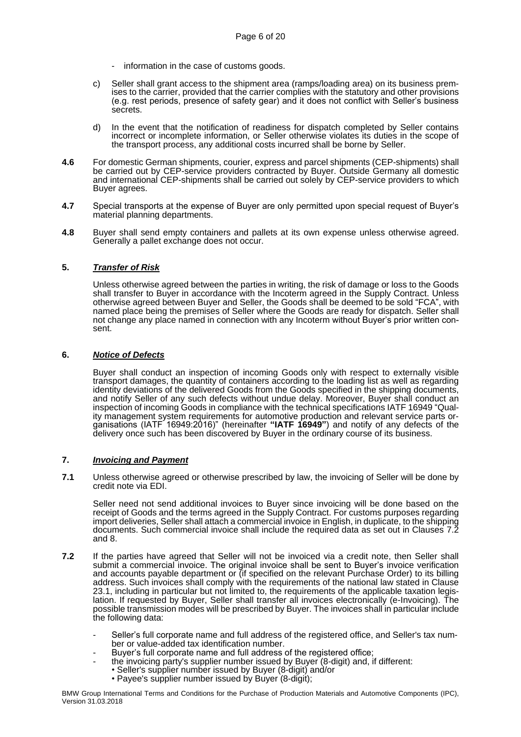- information in the case of customs goods.
- c) Seller shall grant access to the shipment area (ramps/loading area) on its business premises to the carrier, provided that the carrier complies with the statutory and other provisions (e.g. rest periods, presence of safety gear) and it does not conflict with Seller's business secrets.
- d) In the event that the notification of readiness for dispatch completed by Seller contains incorrect or incomplete information, or Seller otherwise violates its duties in the scope of the transport process, any additional costs incurred shall be borne by Seller.
- **4.6** For domestic German shipments, courier, express and parcel shipments (CEP-shipments) shall be carried out by CEP-service providers contracted by Buyer. Outside Germany all domestic and international CEP-shipments shall be carried out solely by CEP-service providers to which Buyer agrees.
- **4.7** Special transports at the expense of Buyer are only permitted upon special request of Buyer's material planning departments.
- <span id="page-5-0"></span>**4.8** Buyer shall send empty containers and pallets at its own expense unless otherwise agreed. Generally a pallet exchange does not occur.

# <span id="page-5-3"></span>**5.** *Transfer of Risk*

Unless otherwise agreed between the parties in writing, the risk of damage or loss to the Goods shall transfer to Buyer in accordance with the Incoterm agreed in the Supply Contract. Unless otherwise agreed between Buyer and Seller, the Goods shall be deemed to be sold "FCA", with named place being the premises of Seller where the Goods are ready for dispatch. Seller shall not change any place named in connection with any Incoterm without Buyer's prior written consent.

## **6.** *Notice of Defects*

Buyer shall conduct an inspection of incoming Goods only with respect to externally visible transport damages, the quantity of containers according to the loading list as well as regarding identity deviations of the delivered Goods from the Goods specified in the shipping documents, and notify Seller of any such defects without undue delay. Moreover, Buyer shall conduct an inspection of incoming Goods in compliance with the technical specifications IATF 16949 "Quality management system requirements for automotive production and relevant service parts organisations (IATF 16949:2016)" (hereinafter **"IATF 16949"**) and notify of any defects of the delivery once such has been discovered by Buyer in the ordinary course of its business.

## **7.** *Invoicing and Payment*

<span id="page-5-2"></span>**7.1** Unless otherwise agreed or otherwise prescribed by law, the invoicing of Seller will be done by credit note via EDI.

Seller need not send additional invoices to Buyer since invoicing will be done based on the receipt of Goods and the terms agreed in the Supply Contract. For customs purposes regarding import deliveries, Seller shall attach a commercial invoice in English, in duplicate, to the shipping documents. Such commercial invoice shall include the required data as set out in Clauses [7.2](#page-5-1) and [8.](#page-7-0)

- <span id="page-5-1"></span>**7.2** If the parties have agreed that Seller will not be invoiced via a credit note, then Seller shall submit a commercial invoice. The original invoice shall be sent to Buyer's invoice verification and accounts payable department or (if specified on the relevant Purchase Order) to its billing address. Such invoices shall comply with the requirements of the national law stated in Clause 23.1, including in particular but not limited to, the requirements of the applicable taxation legislation. If requested by Buyer, Seller shall transfer all invoices electronically (e-Invoicing). The possible transmission modes will be prescribed by Buyer. The invoices shall in particular include the following data:
	- Seller's full corporate name and full address of the registered office, and Seller's tax number or value-added tax identification number.
	- Buyer's full corporate name and full address of the registered office;
	- the invoicing party's supplier number issued by Buyer (8-digit) and, if different:
		- Seller's supplier number issued by Buyer (8-digit) and/or
			- Payee's supplier number issued by Buyer (8-digit);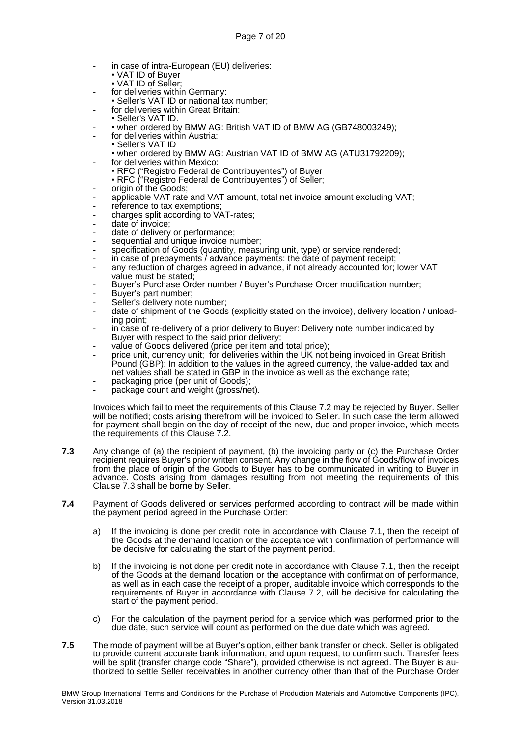- in case of intra-European (EU) deliveries:
	- VAT ID of Buyer
	- VAT ID of Seller:
- for deliveries within Germany:
- Seller's VAT ID or national tax number;
- for deliveries within Great Britain:
- Seller's VAT ID.
- • when ordered by BMW AG: British VAT ID of BMW AG (GB748003249);
- for deliveries within Austria: • Seller's VAT ID
	- when ordered by BMW AG: Austrian VAT ID of BMW AG (ATU31792209);
- for deliveries within Mexico:
	- RFC ("Registro Federal de Contribuyentes") of Buyer
- RFC ("Registro Federal de Contribuyentes") of Seller;
- origin of the Goods;
- applicable VAT rate and VAT amount, total net invoice amount excluding VAT;
- reference to tax exemptions;
- charges split according to VAT-rates;
- date of invoice;
- date of delivery or performance;
- sequential and unique invoice number;
- specification of Goods (quantity, measuring unit, type) or service rendered;
- in case of prepayments / advance payments: the date of payment receipt;
- any reduction of charges agreed in advance, if not already accounted for; lower VAT value must be stated;
- Buyer's Purchase Order number / Buyer's Purchase Order modification number;
- Buyer's part number;
- Seller's delivery note number;
- date of shipment of the Goods (explicitly stated on the invoice), delivery location / unloading point;
- in case of re-delivery of a prior delivery to Buyer: Delivery note number indicated by Buyer with respect to the said prior delivery;
- value of Goods delivered (price per item and total price);
- price unit, currency unit; for deliveries within the UK not being invoiced in Great British Pound (GBP): In addition to the values in the agreed currency, the value-added tax and net values shall be stated in GBP in the invoice as well as the exchange rate;
- packaging price (per unit of Goods);
- package count and weight (gross/net).

Invoices which fail to meet the requirements of this Claus[e 7.2](#page-5-1) may be rejected by Buyer. Seller will be notified; costs arising therefrom will be invoiced to Seller. In such case the term allowed for payment shall begin on the day of receipt of the new, due and proper invoice, which meets the requirements of this Clause [7.2.](#page-5-1)

- <span id="page-6-0"></span>**7.3** Any change of (a) the recipient of payment, (b) the invoicing party or (c) the Purchase Order recipient requires Buyer's prior written consent. Any change in the flow of Goods/flow of invoices from the place of origin of the Goods to Buyer has to be communicated in writing to Buyer in advance. Costs arising from damages resulting from not meeting the requirements of this Clause [7.3](#page-6-0) shall be borne by Seller.
- **7.4** Payment of Goods delivered or services performed according to contract will be made within the payment period agreed in the Purchase Order:
	- a) If the invoicing is done per credit note in accordance with Clause [7.1,](#page-5-2) then the receipt of the Goods at the demand location or the acceptance with confirmation of performance will be decisive for calculating the start of the payment period.
	- b) If the invoicing is not done per credit note in accordance with Clause [7.1,](#page-5-2) then the receipt of the Goods at the demand location or the acceptance with confirmation of performance, as well as in each case the receipt of a proper, auditable invoice which corresponds to the requirements of Buyer in accordance with Clause [7.2,](#page-5-1) will be decisive for calculating the start of the payment period.
	- c) For the calculation of the payment period for a service which was performed prior to the due date, such service will count as performed on the due date which was agreed.
- **7.5** The mode of payment will be at Buyer's option, either bank transfer or check. Seller is obligated to provide current accurate bank information, and upon request, to confirm such. Transfer fees will be split (transfer charge code "Share"), provided otherwise is not agreed. The Buyer is authorized to settle Seller receivables in another currency other than that of the Purchase Order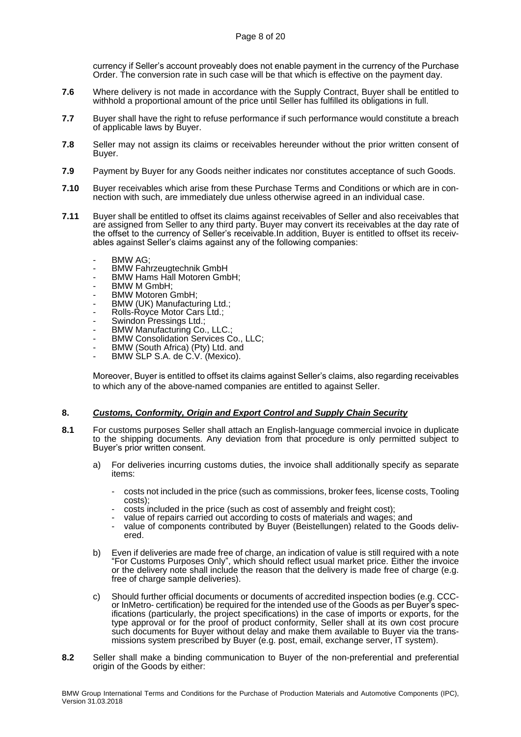currency if Seller's account proveably does not enable payment in the currency of the Purchase Order. The conversion rate in such case will be that which is effective on the payment day.

- **7.6** Where delivery is not made in accordance with the Supply Contract, Buyer shall be entitled to withhold a proportional amount of the price until Seller has fulfilled its obligations in full.
- **7.7** Buyer shall have the right to refuse performance if such performance would constitute a breach of applicable laws by Buyer.
- **7.8** Seller may not assign its claims or receivables hereunder without the prior written consent of Buyer.
- **7.9** Payment by Buyer for any Goods neither indicates nor constitutes acceptance of such Goods.
- **7.10** Buyer receivables which arise from these Purchase Terms and Conditions or which are in connection with such, are immediately due unless otherwise agreed in an individual case.
- **7.11** Buyer shall be entitled to offset its claims against receivables of Seller and also receivables that are assigned from Seller to any third party. Buyer may convert its receivables at the day rate of the offset to the currency of Seller's receivable.In addition, Buyer is entitled to offset its receivables against Seller's claims against any of the following companies:
	- BMW AG;
	- BMW Fahrzeugtechnik GmbH
	- BMW Hams Hall Motoren GmbH;
	- BMW M GmbH;
	- BMW Motoren GmbH;
	- BMW (UK) Manufacturing Ltd.;
	- Rolls-Royce Motor Cars Ltd.;
	- Swindon Pressings Ltd.;
	- BMW Manufacturing Co., LLC.;
	- BMW Consolidation Services Co., LLC;
	- BMW (South Africa) (Pty) Ltd. and
	- BMW SLP S.A. de C.V. (Mexico).

Moreover, Buyer is entitled to offset its claims against Seller's claims, also regarding receivables to which any of the above-named companies are entitled to against Seller.

## <span id="page-7-0"></span>**8.** *Customs, Conformity, Origin and Export Control and Supply Chain Security*

- **8.1** For customs purposes Seller shall attach an English-language commercial invoice in duplicate to the shipping documents. Any deviation from that procedure is only permitted subject to Buyer's prior written consent.
	- a) For deliveries incurring customs duties, the invoice shall additionally specify as separate items:
		- costs not included in the price (such as commissions, broker fees, license costs, Tooling costs);
		- costs included in the price (such as cost of assembly and freight cost);
		- value of repairs carried out according to costs of materials and wages; and
		- value of components contributed by Buyer (Beistellungen) related to the Goods delivered.
	- b) Even if deliveries are made free of charge, an indication of value is still required with a note "For Customs Purposes Only", which should reflect usual market price. Either the invoice or the delivery note shall include the reason that the delivery is made free of charge (e.g. free of charge sample deliveries).
	- c) Should further official documents or documents of accredited inspection bodies (e.g. CCCor InMetro- certification) be required for the intended use of the Goods as per Buyer's specifications (particularly, the project specifications) in the case of imports or exports, for the type approval or for the proof of product conformity, Seller shall at its own cost procure such documents for Buyer without delay and make them available to Buyer via the transmissions system prescribed by Buyer (e.g. post, email, exchange server, IT system).
- **8.2** Seller shall make a binding communication to Buyer of the non-preferential and preferential origin of the Goods by either: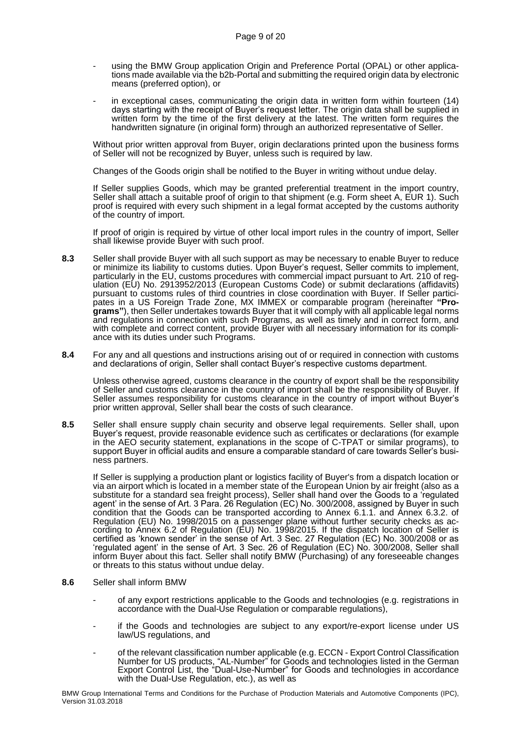- using the BMW Group application Origin and Preference Portal (OPAL) or other applications made available via the b2b-Portal and submitting the required origin data by electronic means (preferred option), or
- in exceptional cases, communicating the origin data in written form within fourteen (14) days starting with the receipt of Buyer's request letter. The origin data shall be supplied in written form by the time of the first delivery at the latest. The written form requires the handwritten signature (in original form) through an authorized representative of Seller.

Without prior written approval from Buyer, origin declarations printed upon the business forms of Seller will not be recognized by Buyer, unless such is required by law.

Changes of the Goods origin shall be notified to the Buyer in writing without undue delay.

If Seller supplies Goods, which may be granted preferential treatment in the import country, Seller shall attach a suitable proof of origin to that shipment (e.g. Form sheet A, EUR 1). Such proof is required with every such shipment in a legal format accepted by the customs authority of the country of import.

If proof of origin is required by virtue of other local import rules in the country of import, Seller shall likewise provide Buyer with such proof.

- **8.3** Seller shall provide Buyer with all such support as may be necessary to enable Buyer to reduce or minimize its liability to customs duties. Upon Buyer's request, Seller commits to implement, particularly in the EU, customs procedures with commercial impact pursuant to Art. 210 of regulation (EU) No. 2913952/2013 (European Customs Code) or submit declarations (affidavits) pursuant to customs rules of third countries in close coordination with Buyer. If Seller participates in a US Foreign Trade Zone, MX IMMEX or comparable program (hereinafter **"Programs"**), then Seller undertakes towards Buyer that it will comply with all applicable legal norms and regulations in connection with such Programs, as well as timely and in correct form, and with complete and correct content, provide Buyer with all necessary information for its compliance with its duties under such Programs.
- **8.4** For any and all questions and instructions arising out of or required in connection with customs and declarations of origin, Seller shall contact Buyer's respective customs department.

Unless otherwise agreed, customs clearance in the country of export shall be the responsibility of Seller and customs clearance in the country of import shall be the responsibility of Buyer. If Seller assumes responsibility for customs clearance in the country of import without Buyer's prior written approval, Seller shall bear the costs of such clearance.

**8.5** Seller shall ensure supply chain security and observe legal requirements. Seller shall, upon Buyer's request, provide reasonable evidence such as certificates or declarations (for example in the AEO security statement, explanations in the scope of C-TPAT or similar programs), to support Buyer in official audits and ensure a comparable standard of care towards Seller's business partners.

If Seller is supplying a production plant or logistics facility of Buyer's from a dispatch location or via an airport which is located in a member state of the European Union by air freight (also as a substitute for a standard sea freight process), Seller shall hand over the Goods to a 'regulated agent' in the sense of Art. 3 Para. 26 Regulation (EC) No. 300/2008, assigned by Buyer in such condition that the Goods can be transported according to Annex 6.1.1. and Annex 6.3.2. of Regulation (EU) No. 1998/2015 on a passenger plane without further security checks as according to Annex 6.2 of Regulation (EU) No. 1998/2015. If the dispatch location of Seller is certified as 'known sender' in the sense of Art. 3 Sec. 27 Regulation (EC) No. 300/2008 or as 'regulated agent' in the sense of Art. 3 Sec. 26 of Regulation (EC) No. 300/2008, Seller shall inform Buyer about this fact. Seller shall notify BMW (Purchasing) of any foreseeable changes or threats to this status without undue delay.

- **8.6** Seller shall inform BMW
	- of any export restrictions applicable to the Goods and technologies (e.g. registrations in accordance with the Dual-Use Regulation or comparable regulations).
	- if the Goods and technologies are subject to any export/re-export license under US law/US regulations, and
	- of the relevant classification number applicable (e.g. ECCN Export Control Classification Number for US products, "AL-Number" for Goods and technologies listed in the German Export Control List, the "Dual-Use-Number" for Goods and technologies in accordance with the Dual-Use Regulation, etc.), as well as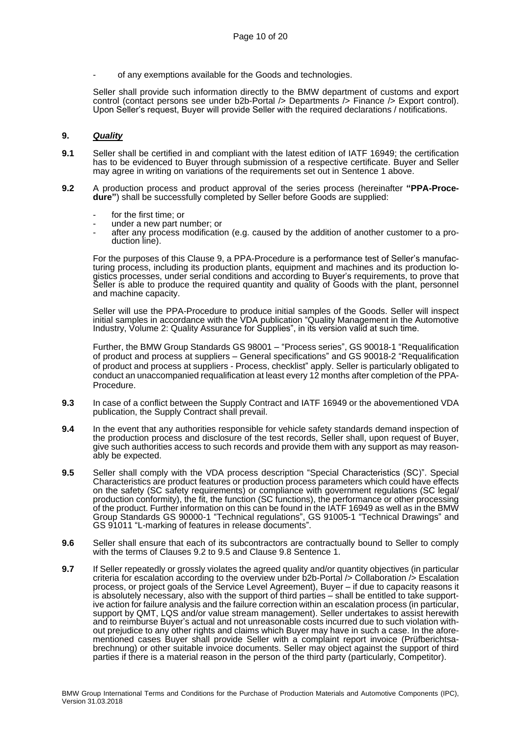of any exemptions available for the Goods and technologies.

Seller shall provide such information directly to the BMW department of customs and export control (contact persons see under b2b-Portal /> Departments /> Finance /> Export control). Upon Seller's request, Buyer will provide Seller with the required declarations / notifications.

## **9.** *Quality*

- **9.1** Seller shall be certified in and compliant with the latest edition of IATF 16949; the certification has to be evidenced to Buyer through submission of a respective certificate. Buyer and Seller may agree in writing on variations of the requirements set out in Sentence 1 above.
- <span id="page-9-0"></span>**9.2** A production process and product approval of the series process (hereinafter **"PPA-Procedure"**) shall be successfully completed by Seller before Goods are supplied:
	- for the first time; or
	- under a new part number; or
	- after any process modification (e.g. caused by the addition of another customer to a production line).

For the purposes of this Clause 9, a PPA-Procedure is a performance test of Seller's manufacturing process, including its production plants, equipment and machines and its production logistics processes, under serial conditions and according to Buyer's requirements, to prove that Seller is able to produce the required quantity and quality of Goods with the plant, personnel and machine capacity.

Seller will use the PPA-Procedure to produce initial samples of the Goods. Seller will inspect initial samples in accordance with the VDA publication "Quality Management in the Automotive Industry, Volume 2: Quality Assurance for Supplies", in its version valid at such time.

Further, the BMW Group Standards GS 98001 – "Process series", GS 90018-1 "Requalification of product and process at suppliers – General specifications" and GS 90018-2 "Requalification of product and process at suppliers - Process, checklist" apply. Seller is particularly obligated to conduct an unaccompanied requalification at least every 12 months after completion of the PPA-Procedure.

- **9.3** In case of a conflict between the Supply Contract and IATF 16949 or the abovementioned VDA publication, the Supply Contract shall prevail.
- **9.4** In the event that any authorities responsible for vehicle safety standards demand inspection of the production process and disclosure of the test records, Seller shall, upon request of Buyer, give such authorities access to such records and provide them with any support as may reasonably be expected.
- <span id="page-9-1"></span>**9.5** Seller shall comply with the VDA process description "Special Characteristics (SC)". Special Characteristics are product features or production process parameters which could have effects on the safety (SC safety requirements) or compliance with government regulations (SC legal/ production conformity), the fit, the function (SC functions), the performance or other processing of the product. Further information on this can be found in the IATF 16949 as well as in the BMW Group Standards GS 90000-1 "Technical regulations", GS 91005-1 "Technical Drawings" and GS 91011 "L-marking of features in release documents".
- **9.6** Seller shall ensure that each of its subcontractors are contractually bound to Seller to comply with the terms of Clauses [9.2](#page-9-0) to [9.5](#page-9-1) and Clause [9.8](#page-10-0) Sentence 1.
- **9.7** If Seller repeatedly or grossly violates the agreed quality and/or quantity objectives (in particular criteria for escalation according to the overview under b2b-Portal /> Collaboration /> Escalation process, or project goals of the Service Level Agreement), Buyer – if due to capacity reasons it is absolutely necessary, also with the support of third parties – shall be entitled to take supportive action for failure analysis and the failure correction within an escalation process (in particular, support by QMT, LQS and/or value stream management). Seller undertakes to assist herewith and to reimburse Buyer's actual and not unreasonable costs incurred due to such violation without prejudice to any other rights and claims which Buyer may have in such a case. In the aforementioned cases Buyer shall provide Seller with a complaint report invoice (Prüfberichtsabrechnung) or other suitable invoice documents. Seller may object against the support of third parties if there is a material reason in the person of the third party (particularly, Competitor).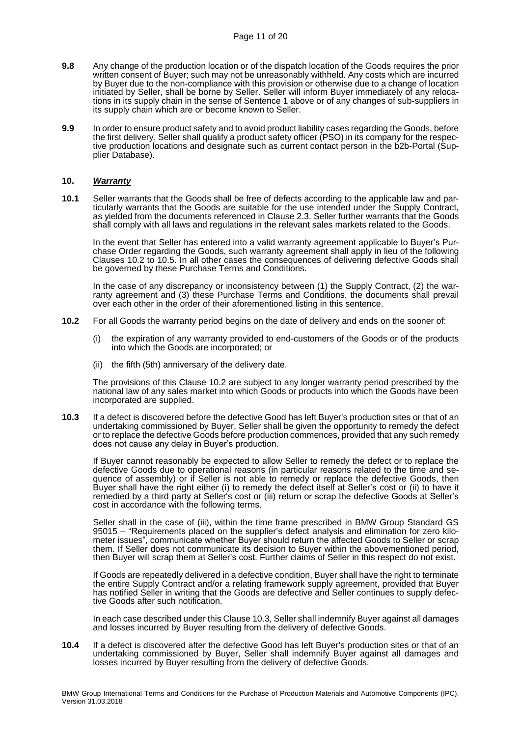- <span id="page-10-0"></span>**9.8** Any change of the production location or of the dispatch location of the Goods requires the prior written consent of Buyer; such may not be unreasonably withheld. Any costs which are incurred by Buyer due to the non-compliance with this provision or otherwise due to a change of location initiated by Seller, shall be borne by Seller. Seller will inform Buyer immediately of any relocations in its supply chain in the sense of Sentence 1 above or of any changes of sub-suppliers in its supply chain which are or become known to Seller.
- **9.9** In order to ensure product safety and to avoid product liability cases regarding the Goods, before the first delivery, Seller shall qualify a product safety officer (PSO) in its company for the respective production locations and designate such as current contact person in the b2b-Portal (Supplier Database).

#### **10.** *Warranty*

**10.1** Seller warrants that the Goods shall be free of defects according to the applicable law and particularly warrants that the Goods are suitable for the use intended under the Supply Contract, as yielded from the documents referenced in Clause [2.3.](#page-2-2) Seller further warrants that the Goods shall comply with all laws and regulations in the relevant sales markets related to the Goods.

In the event that Seller has entered into a valid warranty agreement applicable to Buyer's Purchase Order regarding the Goods, such warranty agreement shall apply in lieu of the following Clauses [10.2](#page-10-1) to [10.5.](#page-11-0) In all other cases the consequences of delivering defective Goods shall be governed by these Purchase Terms and Conditions.

In the case of any discrepancy or inconsistency between (1) the Supply Contract, (2) the warranty agreement and (3) these Purchase Terms and Conditions, the documents shall prevail over each other in the order of their aforementioned listing in this sentence.

- <span id="page-10-1"></span>**10.2** For all Goods the warranty period begins on the date of delivery and ends on the sooner of:
	- (i) the expiration of any warranty provided to end-customers of the Goods or of the products into which the Goods are incorporated; or
	- (ii) the fifth (5th) anniversary of the delivery date.

The provisions of this Clause [10.2](#page-10-1) are subject to any longer warranty period prescribed by the national law of any sales market into which Goods or products into which the Goods have been incorporated are supplied.

<span id="page-10-2"></span>**10.3** If a defect is discovered before the defective Good has left Buyer's production sites or that of an undertaking commissioned by Buyer, Seller shall be given the opportunity to remedy the defect or to replace the defective Goods before production commences, provided that any such remedy does not cause any delay in Buyer's production.

If Buyer cannot reasonably be expected to allow Seller to remedy the defect or to replace the defective Goods due to operational reasons (in particular reasons related to the time and sequence of assembly) or if Seller is not able to remedy or replace the defective Goods, then Buyer shall have the right either (i) to remedy the defect itself at Seller's cost or (ii) to have it remedied by a third party at Seller's cost or (iii) return or scrap the defective Goods at Seller's cost in accordance with the following terms.

Seller shall in the case of (iii), within the time frame prescribed in BMW Group Standard GS 95015 – "Requirements placed on the supplier's defect analysis and elimination for zero kilometer issues", communicate whether Buyer should return the affected Goods to Seller or scrap them. If Seller does not communicate its decision to Buyer within the abovementioned period, then Buyer will scrap them at Seller's cost. Further claims of Seller in this respect do not exist.

If Goods are repeatedly delivered in a defective condition, Buyer shall have the right to terminate the entire Supply Contract and/or a relating framework supply agreement, provided that Buyer has notified Seller in writing that the Goods are defective and Seller continues to supply defective Goods after such notification.

In each case described under this Claus[e 10.3,](#page-10-2) Seller shall indemnify Buyer against all damages and losses incurred by Buyer resulting from the delivery of defective Goods.

<span id="page-10-3"></span>**10.4** If a defect is discovered after the defective Good has left Buyer's production sites or that of an undertaking commissioned by Buyer, Seller shall indemnify Buyer against all damages and losses incurred by Buyer resulting from the delivery of defective Goods.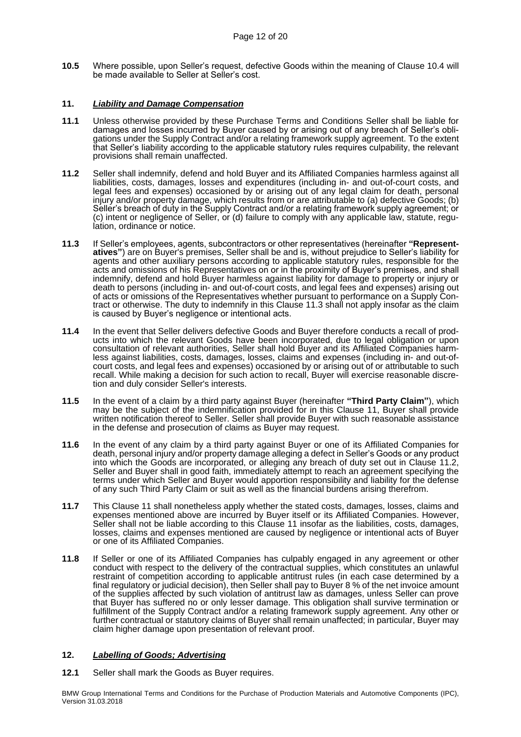<span id="page-11-0"></span>**10.5** Where possible, upon Seller's request, defective Goods within the meaning of Clause [10.4](#page-10-3) will be made available to Seller at Seller's cost.

# **11.** *Liability and Damage Compensation*

- **11.1** Unless otherwise provided by these Purchase Terms and Conditions Seller shall be liable for damages and losses incurred by Buyer caused by or arising out of any breach of Seller's obligations under the Supply Contract and/or a relating framework supply agreement. To the extent that Seller's liability according to the applicable statutory rules requires culpability, the relevant provisions shall remain unaffected.
- <span id="page-11-2"></span>**11.2** Seller shall indemnify, defend and hold Buyer and its Affiliated Companies harmless against all liabilities, costs, damages, losses and expenditures (including in- and out-of-court costs, and legal fees and expenses) occasioned by or arising out of any legal claim for death, personal injury and/or property damage, which results from or are attributable to (a) defective Goods; (b) Seller's breach of duty in the Supply Contract and/or a relating framework supply agreement; or (c) intent or negligence of Seller, or (d) failure to comply with any applicable law, statute, regulation, ordinance or notice.
- <span id="page-11-1"></span>**11.3** If Seller's employees, agents, subcontractors or other representatives (hereinafter **"Representatives"**) are on Buyer's premises, Seller shall be and is, without prejudice to Seller's liability for agents and other auxiliary persons according to applicable statutory rules, responsible for the acts and omissions of his Representatives on or in the proximity of Buyer's premises, and shall indemnify, defend and hold Buyer harmless against liability for damage to property or injury or death to persons (including in- and out-of-court costs, and legal fees and expenses) arising out of acts or omissions of the Representatives whether pursuant to performance on a Supply Con-tract or otherwise. The duty to indemnify in this Clause [11.3](#page-11-1) shall not apply insofar as the claim is caused by Buyer's negligence or intentional acts.
- **11.4** In the event that Seller delivers defective Goods and Buyer therefore conducts a recall of products into which the relevant Goods have been incorporated, due to legal obligation or upon consultation of relevant authorities, Seller shall hold Buyer and its Affiliated Companies harmless against liabilities, costs, damages, losses, claims and expenses (including in- and out-ofcourt costs, and legal fees and expenses) occasioned by or arising out of or attributable to such recall. While making a decision for such action to recall, Buyer will exercise reasonable discretion and duly consider Seller's interests.
- **11.5** In the event of a claim by a third party against Buyer (hereinafter **"Third Party Claim"**), which may be the subject of the indemnification provided for in this Clause 11, Buyer shall provide written notification thereof to Seller. Seller shall provide Buyer with such reasonable assistance in the defense and prosecution of claims as Buyer may request.
- **11.6** In the event of any claim by a third party against Buyer or one of its Affiliated Companies for death, personal injury and/or property damage alleging a defect in Seller's Goods or any product into which the Goods are incorporated, or alleging any breach of duty set out in Clause [11.2,](#page-11-2) Seller and Buyer shall in good faith, immediately attempt to reach an agreement specifying the terms under which Seller and Buyer would apportion responsibility and liability for the defense of any such Third Party Claim or suit as well as the financial burdens arising therefrom.
- **11.7** This Clause 11 shall nonetheless apply whether the stated costs, damages, losses, claims and expenses mentioned above are incurred by Buyer itself or its Affiliated Companies. However, Seller shall not be liable according to this Clause 11 insofar as the liabilities, costs, damages, losses, claims and expenses mentioned are caused by negligence or intentional acts of Buyer or one of its Affiliated Companies.
- **11.8** If Seller or one of its Affiliated Companies has culpably engaged in any agreement or other conduct with respect to the delivery of the contractual supplies, which constitutes an unlawful restraint of competition according to applicable antitrust rules (in each case determined by a final regulatory or judicial decision), then Seller shall pay to Buyer 8 % of the net invoice amount of the supplies affected by such violation of antitrust law as damages, unless Seller can prove that Buyer has suffered no or only lesser damage. This obligation shall survive termination or fulfillment of the Supply Contract and/or a relating framework supply agreement. Any other or further contractual or statutory claims of Buyer shall remain unaffected; in particular, Buyer may claim higher damage upon presentation of relevant proof.

# **12.** *Labelling of Goods; Advertising*

**12.1** Seller shall mark the Goods as Buyer requires.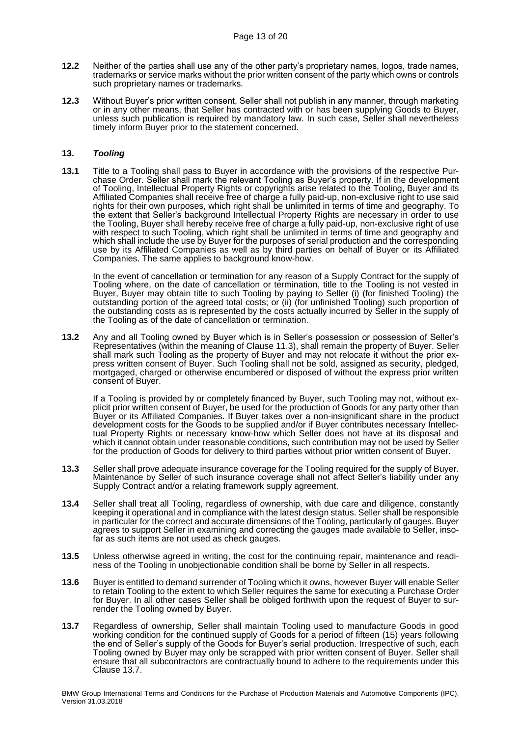- **12.2** Neither of the parties shall use any of the other party's proprietary names, logos, trade names, trademarks or service marks without the prior written consent of the party which owns or controls such proprietary names or trademarks.
- **12.3** Without Buyer's prior written consent, Seller shall not publish in any manner, through marketing or in any other means, that Seller has contracted with or has been supplying Goods to Buyer, unless such publication is required by mandatory law. In such case, Seller shall nevertheless timely inform Buyer prior to the statement concerned.

# **13.** *Tooling*

**13.1** Title to a Tooling shall pass to Buyer in accordance with the provisions of the respective Purchase Order. Seller shall mark the relevant Tooling as Buyer's property. If in the development of Tooling, Intellectual Property Rights or copyrights arise related to the Tooling, Buyer and its Affiliated Companies shall receive free of charge a fully paid-up, non-exclusive right to use said rights for their own purposes, which right shall be unlimited in terms of time and geography. To the extent that Seller's background Intellectual Property Rights are necessary in order to use the Tooling, Buyer shall hereby receive free of charge a fully paid-up, non-exclusive right of use with respect to such Tooling, which right shall be unlimited in terms of time and geography and which shall include the use by Buyer for the purposes of serial production and the corresponding use by its Affiliated Companies as well as by third parties on behalf of Buyer or its Affiliated Companies. The same applies to background know-how.

In the event of cancellation or termination for any reason of a Supply Contract for the supply of Tooling where, on the date of cancellation or termination, title to the Tooling is not vested in Buyer, Buyer may obtain title to such Tooling by paying to Seller (i) (for finished Tooling) the outstanding portion of the agreed total costs; or (ii) (for unfinished Tooling) such proportion of the outstanding costs as is represented by the costs actually incurred by Seller in the supply of the Tooling as of the date of cancellation or termination.

**13.2** Any and all Tooling owned by Buyer which is in Seller's possession or possession of Seller's Representatives (within the meaning of Clause [11.3\)](#page-11-1), shall remain the property of Buyer. Seller shall mark such Tooling as the property of Buyer and may not relocate it without the prior express written consent of Buyer. Such Tooling shall not be sold, assigned as security, pledged, mortgaged, charged or otherwise encumbered or disposed of without the express prior written consent of Buyer.

If a Tooling is provided by or completely financed by Buyer, such Tooling may not, without explicit prior written consent of Buyer, be used for the production of Goods for any party other than Buyer or its Affiliated Companies. If Buyer takes over a non-insignificant share in the product development costs for the Goods to be supplied and/or if Buyer contributes necessary Intellectual Property Rights or necessary know-how which Seller does not have at its disposal and which it cannot obtain under reasonable conditions, such contribution may not be used by Seller for the production of Goods for delivery to third parties without prior written consent of Buyer.

- **13.3** Seller shall prove adequate insurance coverage for the Tooling required for the supply of Buyer. Maintenance by Seller of such insurance coverage shall not affect Seller's liability under any Supply Contract and/or a relating framework supply agreement.
- **13.4** Seller shall treat all Tooling, regardless of ownership, with due care and diligence, constantly keeping it operational and in compliance with the latest design status. Seller shall be responsible in particular for the correct and accurate dimensions of the Tooling, particularly of gauges. Buyer agrees to support Seller in examining and correcting the gauges made available to Seller, insofar as such items are not used as check gauges.
- **13.5** Unless otherwise agreed in writing, the cost for the continuing repair, maintenance and readiness of the Tooling in unobjectionable condition shall be borne by Seller in all respects.
- **13.6** Buyer is entitled to demand surrender of Tooling which it owns, however Buyer will enable Seller to retain Tooling to the extent to which Seller requires the same for executing a Purchase Order for Buyer. In all other cases Seller shall be obliged forthwith upon the request of Buyer to surrender the Tooling owned by Buyer.
- <span id="page-12-0"></span>**13.7** Regardless of ownership, Seller shall maintain Tooling used to manufacture Goods in good working condition for the continued supply of Goods for a period of fifteen (15) years following the end of Seller's supply of the Goods for Buyer's serial production. Irrespective of such, each Tooling owned by Buyer may only be scrapped with prior written consent of Buyer. Seller shall ensure that all subcontractors are contractually bound to adhere to the requirements under this Clause [13.7.](#page-12-0)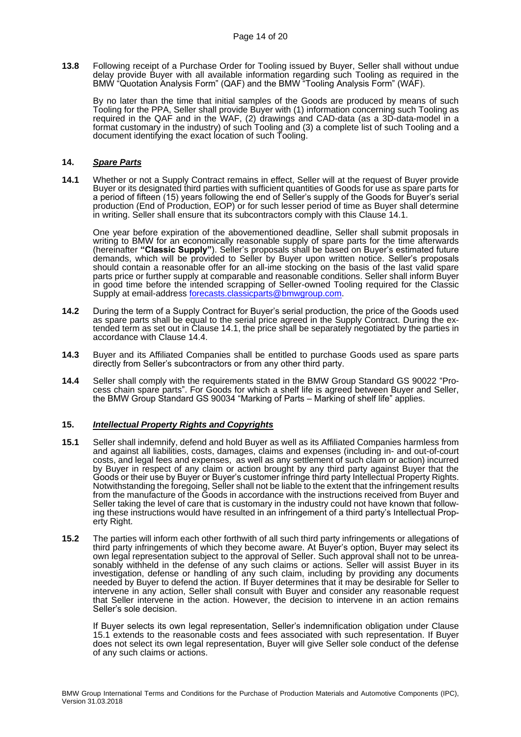**13.8** Following receipt of a Purchase Order for Tooling issued by Buyer, Seller shall without undue delay provide Buyer with all available information regarding such Tooling as required in the BMW "Quotation Analysis Form" (QAF) and the BMW "Tooling Analysis Form" (WAF).

By no later than the time that initial samples of the Goods are produced by means of such Tooling for the PPA, Seller shall provide Buyer with (1) information concerning such Tooling as required in the QAF and in the WAF, (2) drawings and CAD-data (as a 3D-data-model in a format customary in the industry) of such Tooling and (3) a complete list of such Tooling and a document identifying the exact location of such Tooling.

## **14.** *Spare Parts*

<span id="page-13-0"></span>**14.1** Whether or not a Supply Contract remains in effect, Seller will at the request of Buyer provide Buyer or its designated third parties with sufficient quantities of Goods for use as spare parts for a period of fifteen (15) years following the end of Seller's supply of the Goods for Buyer's serial production (End of Production, EOP) or for such lesser period of time as Buyer shall determine in writing. Seller shall ensure that its subcontractors comply with this Clause [14.1.](#page-13-0)

One year before expiration of the abovementioned deadline, Seller shall submit proposals in writing to BMW for an economically reasonable supply of spare parts for the time afterwards (hereinafter **"Classic Supply"**). Seller's proposals shall be based on Buyer's estimated future demands, which will be provided to Seller by Buyer upon written notice. Seller's proposals should contain a reasonable offer for an all-ime stocking on the basis of the last valid spare parts price or further supply at comparable and reasonable conditions. Seller shall inform Buyer in good time before the intended scrapping of Seller-owned Tooling required for the Classic Supply at email-address [forecasts.classicparts@bmwgroup.com.](mailto:forecasts.classicparts@bmwgroup.com)

- **14.2** During the term of a Supply Contract for Buyer's serial production, the price of the Goods used as spare parts shall be equal to the serial price agreed in the Supply Contract. During the extended term as set out in Claus[e 14.1,](#page-13-0) the price shall be separately negotiated by the parties in accordance with Clause [14.4.](#page-13-1)
- **14.3** Buyer and its Affiliated Companies shall be entitled to purchase Goods used as spare parts directly from Seller's subcontractors or from any other third party.
- <span id="page-13-1"></span>**14.4** Seller shall comply with the requirements stated in the BMW Group Standard GS 90022 "Process chain spare parts". For Goods for which a shelf life is agreed between Buyer and Seller, the BMW Group Standard GS 90034 "Marking of Parts – Marking of shelf life" applies.

## **15.** *Intellectual Property Rights and Copyrights*

- <span id="page-13-2"></span>**15.1** Seller shall indemnify, defend and hold Buyer as well as its Affiliated Companies harmless from and against all liabilities, costs, damages, claims and expenses (including in- and out-of-court costs, and legal fees and expenses, as well as any settlement of such claim or action) incurred by Buyer in respect of any claim or action brought by any third party against Buyer that the Goods or their use by Buyer or Buyer's customer infringe third party Intellectual Property Rights. Notwithstanding the foregoing, Seller shall not be liable to the extent that the infringement results from the manufacture of the Goods in accordance with the instructions received from Buyer and Seller taking the level of care that is customary in the industry could not have known that following these instructions would have resulted in an infringement of a third party's Intellectual Property Right.
- **15.2** The parties will inform each other forthwith of all such third party infringements or allegations of third party infringements of which they become aware. At Buyer's option, Buyer may select its own legal representation subject to the approval of Seller. Such approval shall not to be unreasonably withheld in the defense of any such claims or actions. Seller will assist Buyer in its investigation, defense or handling of any such claim, including by providing any documents needed by Buyer to defend the action. If Buyer determines that it may be desirable for Seller to intervene in any action, Seller shall consult with Buyer and consider any reasonable request that Seller intervene in the action. However, the decision to intervene in an action remains Seller's sole decision.

If Buyer selects its own legal representation, Seller's indemnification obligation under Clause [15.1](#page-13-2) extends to the reasonable costs and fees associated with such representation. If Buyer does not select its own legal representation, Buyer will give Seller sole conduct of the defense of any such claims or actions.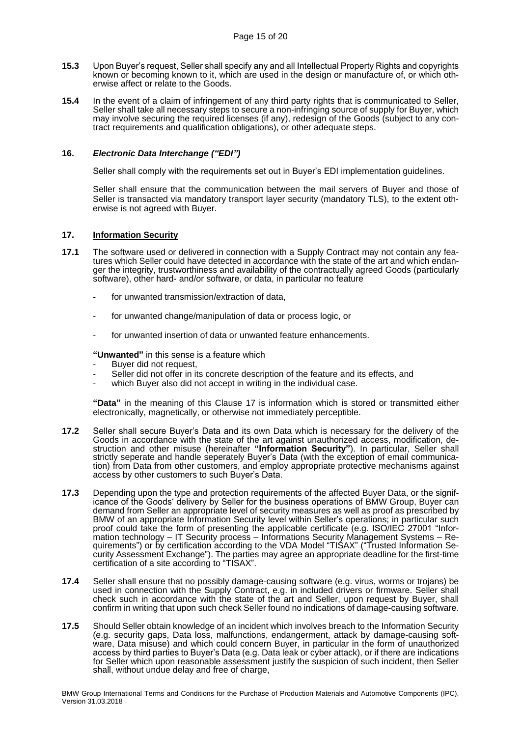- **15.3** Upon Buyer's request, Seller shall specify any and all Intellectual Property Rights and copyrights known or becoming known to it, which are used in the design or manufacture of, or which otherwise affect or relate to the Goods.
- **15.4** In the event of a claim of infringement of any third party rights that is communicated to Seller, Seller shall take all necessary steps to secure a non-infringing source of supply for Buyer, which may involve securing the required licenses (if any), redesign of the Goods (subject to any contract requirements and qualification obligations), or other adequate steps.

# **16.** *Electronic Data Interchange ("EDI")*

Seller shall comply with the requirements set out in Buyer's EDI implementation guidelines.

Seller shall ensure that the communication between the mail servers of Buyer and those of Seller is transacted via mandatory transport layer security (mandatory TLS), to the extent otherwise is not agreed with Buyer.

# <span id="page-14-0"></span>**17. Information Security**

- **17.1** The software used or delivered in connection with a Supply Contract may not contain any features which Seller could have detected in accordance with the state of the art and which endanger the integrity, trustworthiness and availability of the contractually agreed Goods (particularly software), other hard- and/or software, or data, in particular no feature
	- for unwanted transmission/extraction of data,
	- for unwanted change/manipulation of data or process logic, or
	- for unwanted insertion of data or unwanted feature enhancements.

**"Unwanted"** in this sense is a feature which

- Buyer did not request,
- Seller did not offer in its concrete description of the feature and its effects, and
- which Buyer also did not accept in writing in the individual case.

**"Data"** in the meaning of this Clause [17](#page-14-0) is information which is stored or transmitted either electronically, magnetically, or otherwise not immediately perceptible.

- **17.2** Seller shall secure Buyer's Data and its own Data which is necessary for the delivery of the Goods in accordance with the state of the art against unauthorized access, modification, destruction and other misuse (hereinafter **"Information Security"**). In particular, Seller shall strictly seperate and handle seperately Buyer's Data (with the exception of email communication) from Data from other customers, and employ appropriate protective mechanisms against access by other customers to such Buyer's Data.
- <span id="page-14-1"></span>**17.3** Depending upon the type and protection requirements of the affected Buyer Data, or the significance of the Goods' delivery by Seller for the business operations of BMW Group, Buyer can demand from Seller an appropriate level of security measures as well as proof as prescribed by BMW of an appropriate Information Security level within Seller's operations; in particular such proof could take the form of presenting the applicable certificate (e.g. ISO/IEC 27001 "Information technology – IT Security process – Informations Security Management Systems – Requirements") or by certification according to the VDA Model "TISAX" ("Trusted Information Security Assessment Exchange"). The parties may agree an appropriate deadline for the first-time certification of a site according to "TISAX".
- **17.4** Seller shall ensure that no possibly damage-causing software (e.g. virus, worms or trojans) be used in connection with the Supply Contract, e.g. in included drivers or firmware. Seller shall check such in accordance with the state of the art and Seller, upon request by Buyer, shall confirm in writing that upon such check Seller found no indications of damage-causing software.
- <span id="page-14-2"></span>**17.5** Should Seller obtain knowledge of an incident which involves breach to the Information Security (e.g. security gaps, Data loss, malfunctions, endangerment, attack by damage-causing software, Data misuse) and which could concern Buyer, in particular in the form of unauthorized access by third parties to Buyer's Data (e.g. Data leak or cyber attack), or if there are indications for Seller which upon reasonable assessment justify the suspicion of such incident, then Seller shall, without undue delay and free of charge,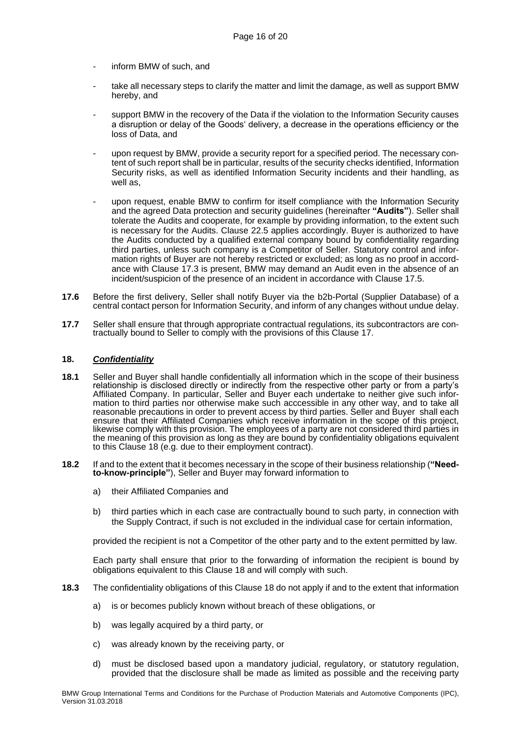- inform BMW of such, and
- take all necessary steps to clarify the matter and limit the damage, as well as support BMW hereby, and
- support BMW in the recovery of the Data if the violation to the Information Security causes a disruption or delay of the Goods' delivery, a decrease in the operations efficiency or the loss of Data, and
- upon request by BMW, provide a security report for a specified period. The necessary content of such report shall be in particular, results of the security checks identified, Information Security risks, as well as identified Information Security incidents and their handling, as well as,
- upon request, enable BMW to confirm for itself compliance with the Information Security and the agreed Data protection and security guidelines (hereinafter **"Audits"**). Seller shall tolerate the Audits and cooperate, for example by providing information, to the extent such is necessary for the Audits. Clause [22.5](#page-18-0) applies accordingly. Buyer is authorized to have the Audits conducted by a qualified external company bound by confidentiality regarding third parties, unless such company is a Competitor of Seller. Statutory control and information rights of Buyer are not hereby restricted or excluded; as long as no proof in accordance with Clause [17.3](#page-14-1) is present, BMW may demand an Audit even in the absence of an incident/suspicion of the presence of an incident in accordance with Claus[e 17.5.](#page-14-2)
- **17.6** Before the first delivery, Seller shall notify Buyer via the b2b-Portal (Supplier Database) of a central contact person for Information Security, and inform of any changes without undue delay.
- **17.7** Seller shall ensure that through appropriate contractual regulations, its subcontractors are contractually bound to Seller to comply with the provisions of this Clause [17.](#page-14-0)

# <span id="page-15-0"></span>**18.** *Confidentiality*

- **18.1** Seller and Buyer shall handle confidentially all information which in the scope of their business relationship is disclosed directly or indirectly from the respective other party or from a party's Affiliated Company. In particular, Seller and Buyer each undertake to neither give such information to third parties nor otherwise make such acccessible in any other way, and to take all reasonable precautions in order to prevent access by third parties. Seller and Buyer shall each ensure that their Affiliated Companies which receive information in the scope of this project, likewise comply with this provision. The employees of a party are not considered third parties in the meaning of this provision as long as they are bound by confidentiality obligations equivalent to this Clause [18](#page-15-0) (e.g. due to their employment contract).
- **18.2** If and to the extent that it becomes necessary in the scope of their business relationship (**"Needto-know-principle"**), Seller and Buyer may forward information to
	- a) their Affiliated Companies and
	- b) third parties which in each case are contractually bound to such party, in connection with the Supply Contract, if such is not excluded in the individual case for certain information,

provided the recipient is not a Competitor of the other party and to the extent permitted by law.

Each party shall ensure that prior to the forwarding of information the recipient is bound by obligations equivalent to this Clause [18](#page-15-0) and will comply with such.

- **18.3** The confidentiality obligations of this Clause [18](#page-15-0) do not apply if and to the extent that information
	- a) is or becomes publicly known without breach of these obligations, or
	- b) was legally acquired by a third party, or
	- c) was already known by the receiving party, or
	- d) must be disclosed based upon a mandatory judicial, regulatory, or statutory regulation, provided that the disclosure shall be made as limited as possible and the receiving party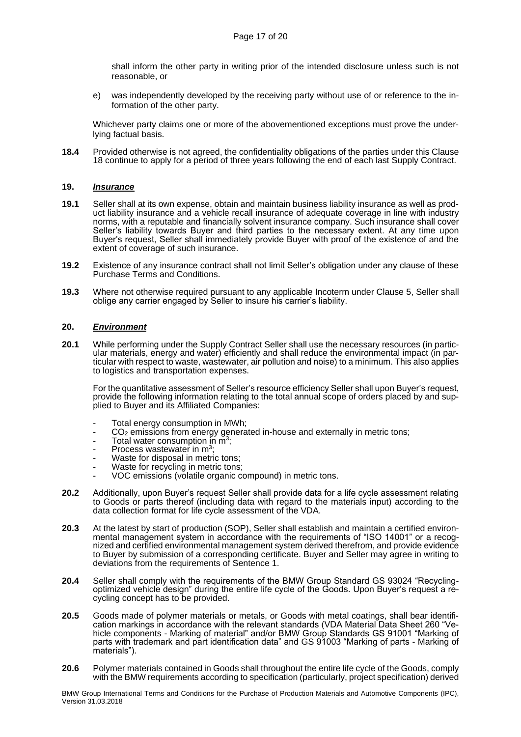shall inform the other party in writing prior of the intended disclosure unless such is not reasonable, or

e) was independently developed by the receiving party without use of or reference to the information of the other party.

Whichever party claims one or more of the abovementioned exceptions must prove the underlying factual basis.

**18.4** Provided otherwise is not agreed, the confidentiality obligations of the parties under this Clause [18](#page-15-0) continue to apply for a period of three years following the end of each last Supply Contract.

# **19.** *Insurance*

- **19.1** Seller shall at its own expense, obtain and maintain business liability insurance as well as product liability insurance and a vehicle recall insurance of adequate coverage in line with industry norms, with a reputable and financially solvent insurance company. Such insurance shall cover Seller's liability towards Buyer and third parties to the necessary extent. At any time upon Buyer's request, Seller shall immediately provide Buyer with proof of the existence of and the extent of coverage of such insurance.
- **19.2** Existence of any insurance contract shall not limit Seller's obligation under any clause of these Purchase Terms and Conditions.
- **19.3** Where not otherwise required pursuant to any applicable Incoterm under Clause [5,](#page-5-3) Seller shall oblige any carrier engaged by Seller to insure his carrier's liability.

## <span id="page-16-0"></span>**20.** *Environment*

**20.1** While performing under the Supply Contract Seller shall use the necessary resources (in particular materials, energy and water) efficiently and shall reduce the environmental impact (in particular with respect to waste, wastewater, air pollution and noise) to a minimum. This also applies to logistics and transportation expenses.

For the quantitative assessment of Seller's resource efficiency Seller shall upon Buyer's request, provide the following information relating to the total annual scope of orders placed by and supplied to Buyer and its Affiliated Companies:

- Total energy consumption in MWh;
- CO<sup>2</sup> emissions from energy generated in-house and externally in metric tons;
- Total water consumption in m<sup>3</sup>;
- Process wastewater in  $m^3$ ;
- Waste for disposal in metric tons;
- Waste for recycling in metric tons;
- VOC emissions (volatile organic compound) in metric tons.
- **20.2** Additionally, upon Buyer's request Seller shall provide data for a life cycle assessment relating to Goods or parts thereof (including data with regard to the materials input) according to the data collection format for life cycle assessment of the VDA.
- **20.3** At the latest by start of production (SOP), Seller shall establish and maintain a certified environmental management system in accordance with the requirements of "ISO 14001" or a recognized and certified environmental management system derived therefrom, and provide evidence to Buyer by submission of a corresponding certificate. Buyer and Seller may agree in writing to deviations from the requirements of Sentence 1.
- **20.4** Seller shall comply with the requirements of the BMW Group Standard GS 93024 "Recyclingoptimized vehicle design" during the entire life cycle of the Goods. Upon Buyer's request a recycling concept has to be provided.
- **20.5** Goods made of polymer materials or metals, or Goods with metal coatings, shall bear identification markings in accordance with the relevant standards (VDA Material Data Sheet 260 "Vehicle components - Marking of material" and/or BMW Group Standards GS 91001 "Marking of parts with trademark and part identification data" and GS 91003 "Marking of parts - Marking of materials").
- **20.6** Polymer materials contained in Goods shall throughout the entire life cycle of the Goods, comply with the BMW requirements according to specification (particularly, project specification) derived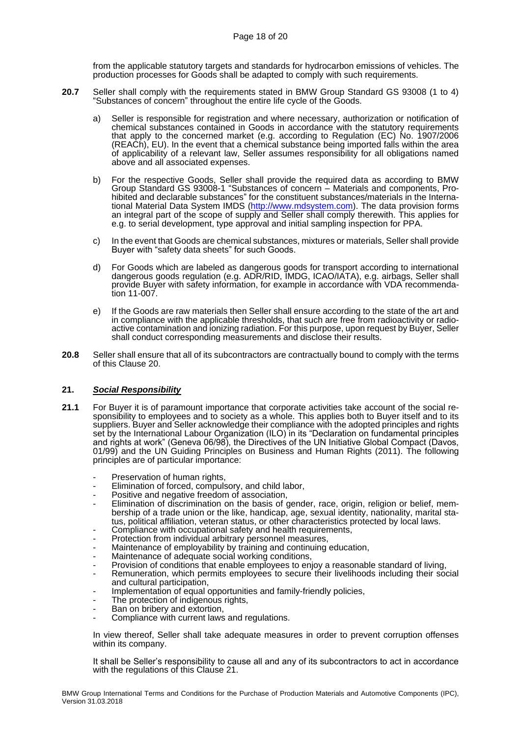from the applicable statutory targets and standards for hydrocarbon emissions of vehicles. The production processes for Goods shall be adapted to comply with such requirements.

- **20.7** Seller shall comply with the requirements stated in BMW Group Standard GS 93008 (1 to 4) "Substances of concern" throughout the entire life cycle of the Goods.
	- a) Seller is responsible for registration and where necessary, authorization or notification of chemical substances contained in Goods in accordance with the statutory requirements that apply to the concerned market (e.g. according to Regulation (EC) No. 1907/2006 (REACh), EU). In the event that a chemical substance being imported falls within the area of applicability of a relevant law, Seller assumes responsibility for all obligations named above and all associated expenses.
	- b) For the respective Goods, Seller shall provide the required data as according to BMW Group Standard GS 93008-1 "Substances of concern – Materials and components, Prohibited and declarable substances" for the constituent substances/materials in the International Material Data System IMDS [\(http://www.mdsystem.com\)](http://www.mdsystem.com/). The data provision forms an integral part of the scope of supply and Seller shall comply therewith. This applies for e.g. to serial development, type approval and initial sampling inspection for PPA.
	- c) In the event that Goods are chemical substances, mixtures or materials, Seller shall provide Buyer with "safety data sheets" for such Goods.
	- d) For Goods which are labeled as dangerous goods for transport according to international dangerous goods regulation (e.g. ADR/RID, IMDG, ICAO/IATA), e.g. airbags, Seller shall provide Buyer with safety information, for example in accordance with VDA recommendation 11-007.
	- e) If the Goods are raw materials then Seller shall ensure according to the state of the art and in compliance with the applicable thresholds, that such are free from radioactivity or radioactive contamination and ionizing radiation. For this purpose, upon request by Buyer, Seller shall conduct corresponding measurements and disclose their results.
- **20.8** Seller shall ensure that all of its subcontractors are contractually bound to comply with the terms of this Clause [20.](#page-16-0)

## <span id="page-17-0"></span>**21.** *Social Responsibility*

- **21.1** For Buyer it is of paramount importance that corporate activities take account of the social responsibility to employees and to society as a whole. This applies both to Buyer itself and to its suppliers. Buyer and Seller acknowledge their compliance with the adopted principles and rights set by the International Labour Organization (ILO) in its "Declaration on fundamental principles and rights at work" (Geneva 06/98), the Directives of the UN Initiative Global Compact (Davos, 01/99) and the UN Guiding Principles on Business and Human Rights (2011). The following principles are of particular importance:
	- Preservation of human rights,
	- Elimination of forced, compulsory, and child labor,
	- Positive and negative freedom of association,
	- Elimination of discrimination on the basis of gender, race, origin, religion or belief, membership of a trade union or the like, handicap, age, sexual identity, nationality, marital status, political affiliation, veteran status, or other characteristics protected by local laws.
	- Compliance with occupational safety and health requirements,
	- Protection from individual arbitrary personnel measures,
	- Maintenance of employability by training and continuing education,
	- Maintenance of adequate social working conditions,
	- Provision of conditions that enable employees to enjoy a reasonable standard of living,
	- Remuneration, which permits employees to secure their livelihoods including their social and cultural participation,
	- Implementation of equal opportunities and family-friendly policies,
	- The protection of indigenous rights,
	- Ban on bribery and extortion,
	- Compliance with current laws and regulations.

In view thereof, Seller shall take adequate measures in order to prevent corruption offenses within its company.

It shall be Seller's responsibility to cause all and any of its subcontractors to act in accordance with the regulations of this Clause [21.](#page-17-0)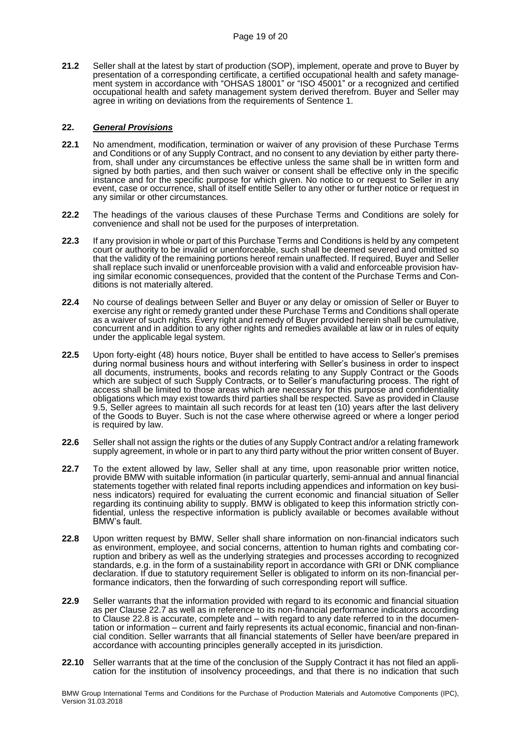**21.2** Seller shall at the latest by start of production (SOP), implement, operate and prove to Buyer by presentation of a corresponding certificate, a certified occupational health and safety management system in accordance with "OHSAS 18001" or "ISO 45001" or a recognized and certified occupational health and safety management system derived therefrom. Buyer and Seller may agree in writing on deviations from the requirements of Sentence 1.

# **22.** *General Provisions*

- **22.1** No amendment, modification, termination or waiver of any provision of these Purchase Terms and Conditions or of any Supply Contract, and no consent to any deviation by either party therefrom, shall under any circumstances be effective unless the same shall be in written form and signed by both parties, and then such waiver or consent shall be effective only in the specific instance and for the specific purpose for which given. No notice to or request to Seller in any event, case or occurrence, shall of itself entitle Seller to any other or further notice or request in any similar or other circumstances.
- **22.2** The headings of the various clauses of these Purchase Terms and Conditions are solely for convenience and shall not be used for the purposes of interpretation.
- **22.3** If any provision in whole or part of this Purchase Terms and Conditions is held by any competent court or authority to be invalid or unenforceable, such shall be deemed severed and omitted so that the validity of the remaining portions hereof remain unaffected. If required, Buyer and Seller shall replace such invalid or unenforceable provision with a valid and enforceable provision having similar economic consequences, provided that the content of the Purchase Terms and Conditions is not materially altered.
- **22.4** No course of dealings between Seller and Buyer or any delay or omission of Seller or Buyer to exercise any right or remedy granted under these Purchase Terms and Conditions shall operate as a waiver of such rights. Every right and remedy of Buyer provided herein shall be cumulative, concurrent and in addition to any other rights and remedies available at law or in rules of equity under the applicable legal system.
- <span id="page-18-0"></span>**22.5** Upon forty-eight (48) hours notice, Buyer shall be entitled to have access to Seller's premises during normal business hours and without interfering with Seller's business in order to inspect all documents, instruments, books and records relating to any Supply Contract or the Goods which are subject of such Supply Contracts, or to Seller's manufacturing process. The right of access shall be limited to those areas which are necessary for this purpose and confidentiality obligations which may exist towards third parties shall be respected. Save as provided in Clause [9.5,](#page-9-1) Seller agrees to maintain all such records for at least ten (10) years after the last delivery of the Goods to Buyer. Such is not the case where otherwise agreed or where a longer period is required by law.
- **22.6** Seller shall not assign the rights or the duties of any Supply Contract and/or a relating framework supply agreement, in whole or in part to any third party without the prior written consent of Buyer.
- <span id="page-18-1"></span>**22.7** To the extent allowed by law, Seller shall at any time, upon reasonable prior written notice, provide BMW with suitable information (in particular quarterly, semi-annual and annual financial statements together with related final reports including appendices and information on key business indicators) required for evaluating the current economic and financial situation of Seller regarding its continuing ability to supply. BMW is obligated to keep this information strictly confidential, unless the respective information is publicly available or becomes available without BMW's fault.
- <span id="page-18-2"></span>**22.8** Upon written request by BMW, Seller shall share information on non-financial indicators such as environment, employee, and social concerns, attention to human rights and combating corruption and bribery as well as the underlying strategies and processes according to recognized standards, e.g. in the form of a sustainability report in accordance with GRI or DNK compliance declaration. If due to statutory requirement Seller is obligated to inform on its non-financial performance indicators, then the forwarding of such corresponding report will suffice.
- **22.9** Seller warrants that the information provided with regard to its economic and financial situation as per Clause [22.7](#page-18-1) as well as in reference to its non-financial performance indicators according to Clause [22.8](#page-18-2) is accurate, complete and – with regard to any date referred to in the documentation or information – current and fairly represents its actual economic, financial and non-financial condition. Seller warrants that all financial statements of Seller have been/are prepared in accordance with accounting principles generally accepted in its jurisdiction.
- **22.10** Seller warrants that at the time of the conclusion of the Supply Contract it has not filed an application for the institution of insolvency proceedings, and that there is no indication that such